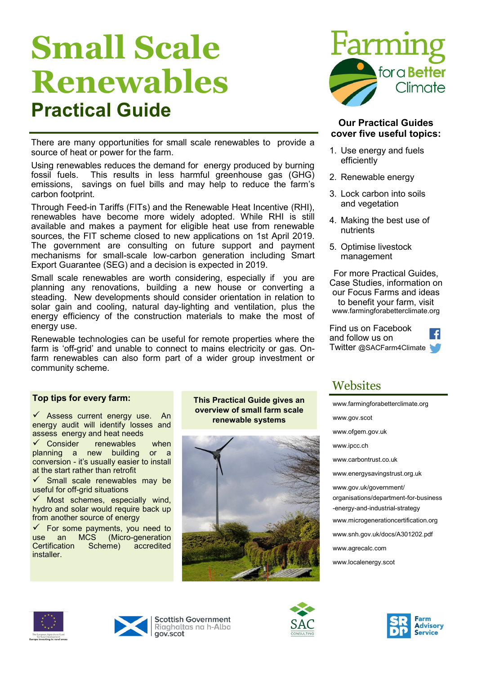# **Small Scale Renewables Practical Guide**

There are many opportunities for small scale renewables to provide a source of heat or power for the farm.

Using renewables reduces the demand for energy produced by burning fossil fuels. This results in less harmful greenhouse gas (GHG) emissions, savings on fuel bills and may help to reduce the farm's carbon footprint.

Through Feed-in Tariffs (FITs) and the Renewable Heat Incentive (RHI), renewables have become more widely adopted. While RHI is still available and makes a payment for eligible heat use from renewable sources, the FIT scheme closed to new applications on 1st April 2019. The government are consulting on future support and payment mechanisms for small-scale low-carbon generation including Smart Export Guarantee (SEG) and a decision is expected in 2019.

Small scale renewables are worth considering, especially if you are planning any renovations, building a new house or converting a steading. New developments should consider orientation in relation to solar gain and cooling, natural day-lighting and ventilation, plus the energy efficiency of the construction materials to make the most of energy use.

Renewable technologies can be useful for remote properties where the farm is 'off-grid' and unable to connect to mains electricity or gas. Onfarm renewables can also form part of a wider group investment or community scheme.

### **Top tips for every farm:**

 $\checkmark$  Assess current energy use. An energy audit will identify losses and assess energy and heat needs

 $\checkmark$  Consider renewables when planning a new building or a conversion - it's usually easier to install at the start rather than retrofit

 $\checkmark$  Small scale renewables may be useful for off-grid situations

 $\checkmark$  Most schemes, especially wind, hydro and solar would require back up from another source of energy

 $\checkmark$  For some payments, you need to use an MCS (Micro-generation Certification Scheme) accredited installer.

### **This Practical Guide gives an overview of small farm scale renewable systems**





### **Our Practical Guides cover five useful topics:**

- 1. Use energy and fuels efficiently
- 2. Renewable energy
- 3. Lock carbon into soils and vegetation
- 4. Making the best use of nutrients
- 5. Optimise livestock management

For more Practical Guides, Case Studies, information on our Focus Farms and ideas to benefit your farm, visit www.farmingforabetterclimate.org

Find us on Facebook and follow us on Twitter @SACFarm4Climate

# **Websites**

[www.farmingforabetterclimate.org](http://www.farmingforabetterclimate.org) [www.gov.scot](http://www.scotland.gov.uk/Topics/Business-Industry/Energy/Energy-sources/19185) [www.ofgem.gov.uk](http://www.ofgem.gov.uk) [www.ipcc.ch](http://www.ipcc.ch) [www.carbontrust.co.uk](http://www.carbontrust.co.uk) [www.energysavingstrust.org.uk](http://www.energysavingtrust.org.uk/scotland/) www.gov.uk/government/ organisations/department-for-business -energy-and-industrial-strategy [www.microgenerationcertification.org](http://www.microgenerationcertification.org) [www.snh.gov.uk/docs/A301202.pdf](http://www.snh.gov.uk/docs/A301202.pdf) [ww](http://www.agrecalc.com)[w.agrecalc.com](http://Www.agrecalc.com) www.localenergy.scot





**Scottish Government** Riaghaltas na h-Alba gov.scot



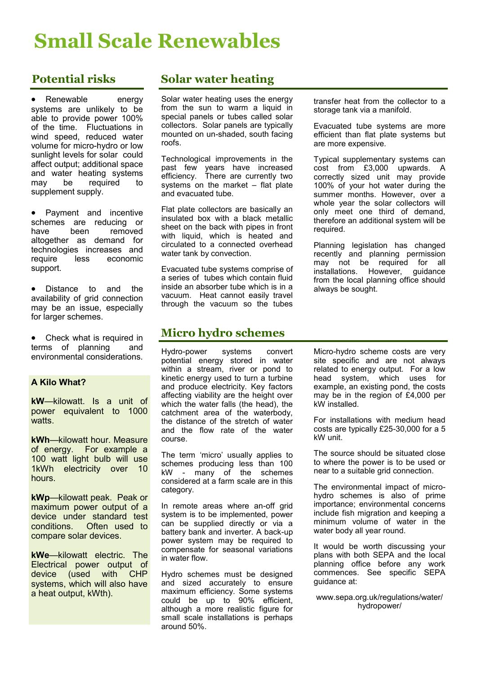# **Small Scale Renewables**

# **Potential risks**

Renewable energy systems are unlikely to be able to provide power 100% of the time. Fluctuations in wind speed, reduced water volume for micro-hydro or low sunlight levels for solar could affect output; additional space and water heating systems may be required to supplement supply.

• Payment and incentive schemes are reducing or have been removed altogether as demand for technologies increases and require less economic support.

• Distance to and the availability of grid connection may be an issue, especially for larger schemes.

 Check what is required in terms of planning and environmental considerations.

### **A Kilo What?**

**kW**—kilowatt. Is a unit of power equivalent to 1000 watts.

**kWh**—kilowatt hour. Measure of energy. For example a 100 watt light bulb will use 1kWh electricity over 10 hours.

**kWp**—kilowatt peak. Peak or maximum power output of a device under standard test conditions. Often used to compare solar devices.

**kWe**—kilowatt electric. The Electrical power output of device (used with CHP systems, which will also have a heat output, kWth).

# **Solar water heating**

Solar water heating uses the energy from the sun to warm a liquid in special panels or tubes called solar collectors. Solar panels are typically mounted on un-shaded, south facing roofs.

Technological improvements in the past few years have increased efficiency. There are currently two systems on the market – flat plate and evacuated tube.

Flat plate collectors are basically an insulated box with a black metallic sheet on the back with pipes in front with liquid, which is heated and circulated to a connected overhead water tank by convection.

Evacuated tube systems comprise of a series of tubes which contain fluid inside an absorber tube which is in a vacuum. Heat cannot easily travel through the vacuum so the tubes

## **Micro hydro schemes**

Hydro-power systems convert potential energy stored in water within a stream, river or pond to kinetic energy used to turn a turbine and produce electricity. Key factors affecting viability are the height over which the water falls (the head), the catchment area of the waterbody, the distance of the stretch of water and the flow rate of the water course.

The term 'micro' usually applies to schemes producing less than 100 kW - many of the schemes considered at a farm scale are in this category.

In remote areas where an-off grid system is to be implemented, power can be supplied directly or via a battery bank and inverter. A back-up power system may be required to compensate for seasonal variations in water flow.

Hydro schemes must be designed and sized accurately to ensure maximum efficiency. Some systems could be up to 90% efficient, although a more realistic figure for small scale installations is perhaps around 50%.

transfer heat from the collector to a storage tank via a manifold.

Evacuated tube systems are more efficient than flat plate systems but are more expensive.

Typical supplementary systems can cost from £3,000 upwards. A correctly sized unit may provide 100% of your hot water during the summer months. However, over a whole year the solar collectors will only meet one third of demand, therefore an additional system will be required.

Planning legislation has changed recently and planning permission may not be required for all<br>installations. However, quidance installations. However, guidance from the local planning office should always be sought.

Micro-hydro scheme costs are very site specific and are not always related to energy output. For a low head system, which uses for example, an existing pond, the costs may be in the region of £4,000 per kW installed.

For installations with medium head costs are typically £25-30,000 for a 5 kW unit.

The source should be situated close to where the power is to be used or near to a suitable grid connection.

The environmental impact of microhydro schemes is also of prime importance; environmental concerns include fish migration and keeping a minimum volume of water in the water body all year round.

It would be worth discussing your plans with both SEPA and the local planning office before any work commences. See specific SEPA guidance at:

[www.sepa.org.uk/regulations/water/](http://www.sepa.org.uk/regulations/water/hydropower/) [hydropower/](http://www.sepa.org.uk/regulations/water/hydropower/)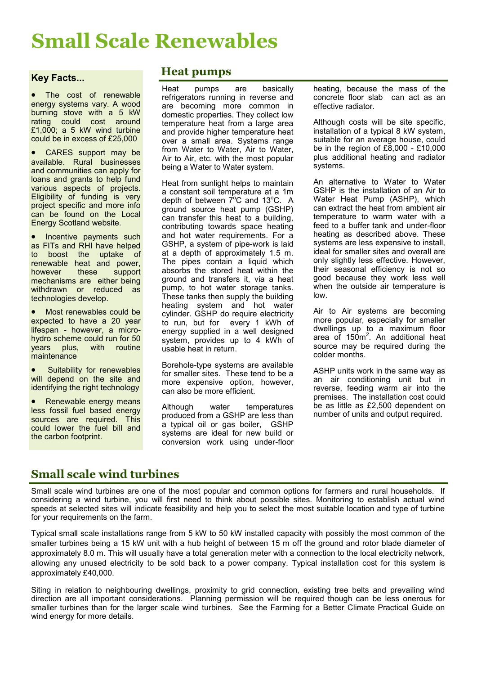# **Small Scale Renewables**

### **Key Facts...**

 The cost of renewable energy systems vary. A wood burning stove with a 5 kW rating could cost around £1,000; a 5 kW wind turbine could be in excess of £25,000

 CARES support may be available. Rural businesses and communities can apply for loans and grants to help fund various aspects of projects. Eligibility of funding is very project specific and more info can be found on the Local Energy Scotland website.

• Incentive payments such as FITs and RHI have helped to boost the uptake of renewable heat and power, however these support mechanisms are either being withdrawn or reduced as technologies develop.

• Most renewables could be expected to have a 20 year lifespan - however, a microhydro scheme could run for 50 years plus, with routine **maintenance** 

 Suitability for renewables will depend on the site and identifying the right technology

 Renewable energy means less fossil fuel based energy sources are required. This could lower the fuel bill and the carbon footprint.

### **Heat pumps**

Heat pumps are basically refrigerators running in reverse and are becoming more common in domestic properties. They collect low temperature heat from a large area and provide higher temperature heat over a small area. Systems range from Water to Water, Air to Water, Air to Air, etc. with the most popular being a Water to Water system.

Heat from sunlight helps to maintain a constant soil temperature at a 1m depth of between  $7^{\circ}$ C and 13 $^{\circ}$ C. A ground source heat pump (GSHP) can transfer this heat to a building, contributing towards space heating and hot water requirements. For a GSHP, a system of pipe-work is laid at a depth of approximately 1.5 m. The pipes contain a liquid which absorbs the stored heat within the ground and transfers it, via a heat pump, to hot water storage tanks. These tanks then supply the building heating system and hot water cylinder. GSHP do require electricity to run, but for every 1 kWh of energy supplied in a well designed system, provides up to 4 kWh of usable heat in return.

Borehole-type systems are available for smaller sites. These tend to be a more expensive option, however, can also be more efficient.

Although water temperatures produced from a GSHP are less than a typical oil or gas boiler, GSHP systems are ideal for new build or conversion work using under-floor

heating, because the mass of the concrete floor slab can act as an effective radiator.

Although costs will be site specific, installation of a typical 8 kW system, suitable for an average house, could be in the region of £8,000 - £10,000 plus additional heating and radiator systems.

An alternative to Water to Water GSHP is the installation of an Air to Water Heat Pump (ASHP), which can extract the heat from ambient air temperature to warm water with a feed to a buffer tank and under-floor heating as described above. These systems are less expensive to install, ideal for smaller sites and overall are only slightly less effective. However, their seasonal efficiency is not so good because they work less well when the outside air temperature is low.

Air to Air systems are becoming more popular, especially for smaller dwellings up to a maximum floor area of 150m<sup>2</sup>. An additional heat source may be required during the colder months.

ASHP units work in the same way as an air conditioning unit but in reverse, feeding warm air into the premises. The installation cost could be as little as £2,500 dependent on number of units and output required.

# **Small scale wind turbines**

Small scale wind turbines are one of the most popular and common options for farmers and rural households. If considering a wind turbine, you will first need to think about possible sites. Monitoring to establish actual wind speeds at selected sites will indicate feasibility and help you to select the most suitable location and type of turbine for your requirements on the farm.

Typical small scale installations range from 5 kW to 50 kW installed capacity with possibly the most common of the smaller turbines being a 15 kW unit with a hub height of between 15 m off the ground and rotor blade diameter of approximately 8.0 m. This will usually have a total generation meter with a connection to the local electricity network, allowing any unused electricity to be sold back to a power company. Typical installation cost for this system is approximately £40,000.

Siting in relation to neighbouring dwellings, proximity to grid connection, existing tree belts and prevailing wind direction are all important considerations. Planning permission will be required though can be less onerous for smaller turbines than for the larger scale wind turbines. See the Farming for a Better Climate Practical Guide on wind energy for more details.